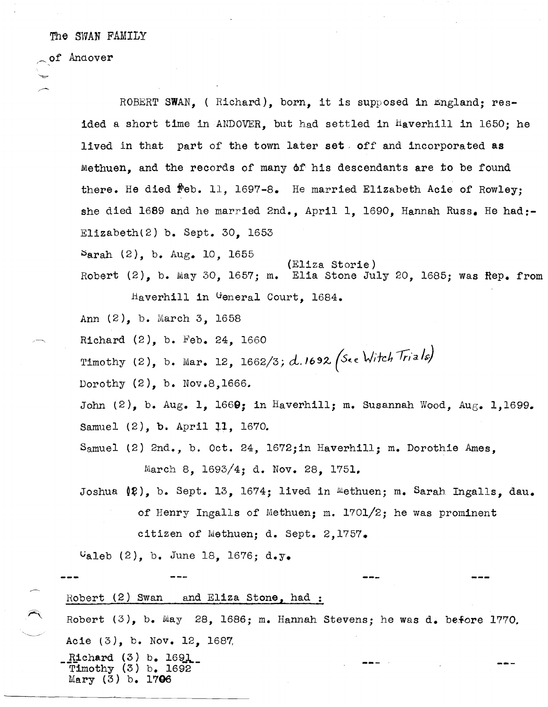The SWAN FAMILY

of Andover

 $\overline{\phantom{a}}$ 

ROBERT SWAN, ( Richard), born, it is supposed in England; resided a short time in ANDOVER, but had settled in Haverhill in 1650; he lived in that part of the town later set, off and incorporated as Methuen, and the records of many of his descendants are to be found there. He died  $\mathbf{f}$ eb. 11, 1697-8. He married Elizabeth Acie of Rowley; she died 1689 and he married 2nd., April 1, 1690, Hannah Russ. He had:-E1izabethl2) b. Sept. 30, 1653  $~\text{Sarah}~(2)$ , b.  $\text{Aug.}~10$ , 1655 (Eliza Storie) Robert  $(2)$ , b. May 30, 1657; m. Elia Stone July 20, 1685; was Rep. from Haverhill in General Court, 1684. Ann (2), b. March 3, 1658 Richard  $(2)$ , b. Feb. 24, 1660 Timothy (2), b. Mar. 12,  $1662/3$ ; d. 1692 (See Witch *Trials*) Dorothy (2). b. Nov.8,1666. John  $(2)$ , b. Aug. 1, 1669; in Haverhill; m. Susannah Wood, Aug. 1,1699. Samuel (2), b. April 11, 1670. Samuel (2) 2nd., b. Oct. 24, 1672;in Haverhill; m. Dorothie Ames, March 8, 1693/4; d. Nov. 28, 1751, Joshua  $(\ell)$ , b. Sept. 13, 1674; lived in Methuen; m. Sarah Ingalls, dau. of Henry Ingalls of Methuen; m. 1701/2; he was prominent citizen of Methuen; d. Sept. 2,1757.  $v_{\text{aleb}}$  (2), b. June 18, 1676; d.y. Robert (2) Swan and Eliza Stone, had : Robert  $(3)$ , b. May 28, 1686; m. Hannah Stevens; he was d. before 1770. Acie  $(3)$ , b. Nov. 12, 1687. Richard  $(3)$  b. 1691 Timothy (3) b. 1692 Mary (3) b. 1706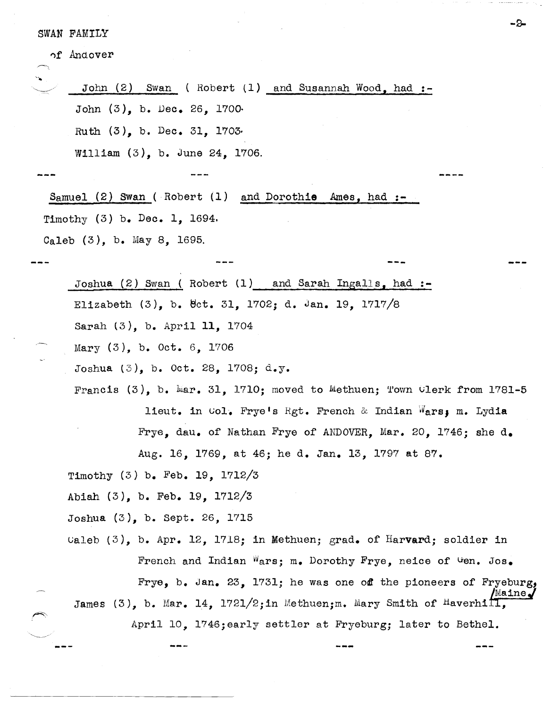SWAN FAMILY

')f Andover

| John $(2)$ Swan (Robert $(1)$ and Susannah Wood, had :-                    |                                |
|----------------------------------------------------------------------------|--------------------------------|
| John $(3)$ , b. Dec. 26, 1700.                                             |                                |
| Ruth $(3)$ , b. Dec. 31, 1703.                                             |                                |
| William $(3)$ , b. June 24, 1706.                                          |                                |
|                                                                            |                                |
| Samuel (2) Swan (Robert $(1)$ and Dorothie Ames, had :-                    |                                |
| Timothy $(3)$ b. Dec. 1, 1694.                                             |                                |
| Caleb $(3)$ , b. May 8, 1695.                                              |                                |
|                                                                            |                                |
| Joshua (2) Swan (Robert (1) and Sarah Ingalls, had :-                      |                                |
| Elizabeth $(3)$ , b. 0ct. 31, 1702; d. Jan. 19, 1717/8                     |                                |
| Sarah (3), b. April 11, 1704                                               |                                |
| Mary $(3)$ , b. Oct. 6, 1706                                               |                                |
| Joshua (3), b. Oct. 28, 1708; d.y.                                         |                                |
| Francis $(3)$ , b. Mar. 31, 1710; moved to Methuen; Town Clerk from 1781-5 |                                |
| lieut. in Col. Frye's Rgt. French & Indian Wars, m. Lydia                  |                                |
| Frye, dau. of Nathan Frye of ANDOVER, Mar. 20, 1746; she d.                |                                |
| Aug. 16, 1769, at 46; he d. Jan. 13, 1797 at 87.                           |                                |
| Timothy (3) b. Feb. 19, 1712/3                                             |                                |
| Abiah (3), b. Feb. 19, 1712/3                                              |                                |
| Joshua (3), b. Sept. 26, 1715                                              |                                |
| Caleb $(3)$ , b. Apr. 12, 1718; in Methuen; grad. of Harvard; soldier in   |                                |
| French and Indian Wars; m. Dorothy Frye, neice of Gen. Jos.                |                                |
| Frye, b. Jan. 23, 1731; he was one off the pioneers of Fryeburg,           | $\mathbb{M}$ aine $\mathcal J$ |
| James (3), b. Mar. 14, 1721/2; in Methuen; m. Mary Smith of Haverhill,     |                                |
| April 10, 1746; early settler at Fryeburg; later to Bethel.                |                                |
|                                                                            |                                |
|                                                                            |                                |

-B-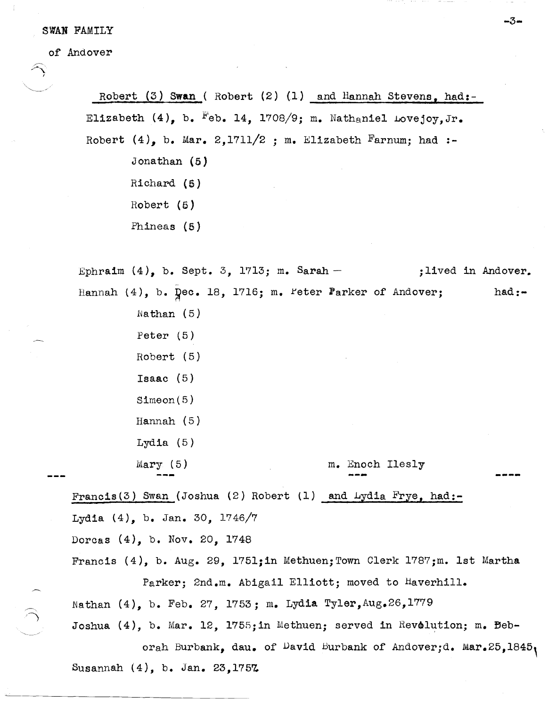SWAN FAMILY

of Andover

 $\widehat{\gamma}$ 

'-----\_./

Robert (3) **Swan** ( Robert (2) (1) and Hannah Stevens, had:- Elizabeth  $(4)$ , b.  $F$ eb. 14, 1708/9; m. Nathaniel Lovejoy, Jr. Robert (4), b. Mar. 2,1711/2 ; m. Elizabeth Farnum; had :-Jonathan  $(5)$ Richard (5) Robert  $(5)$ Phineas (5)

**-3-**

Ephraim  $(4)$ , b. Sept. 3, 1713; m. Sarah - jlived in Andover. Hannah  $(4)$ , b.  $\bar{Q}$ ec. 18, 1716; m. Peter Parker of Andover; Nathan (5) Peter (5) Robert (5) Isaac (5) Simeon(5) Hannah (5) Lydia (5) Mary (5) m. Enoch Ilesly Francis(3) Swan (Joshua (2) Robert (1) and Lydia Frye, had:-Lydia (4), b. Jan. 30, 1746/7 Dorcas (4), b. Nov. 20, 1748  $had:$ -

Francis  $(4)$ , b. Aug. 29, 1751;in Methuen; Town Clerk 1787;m. 1st Martha Parker; 2nd.m. Abigail Elliott; moved to Haverhill. Nathan  $(4)$ , b. Feb. 27, 1753; m. Lydia Tyler, Aug. 26, 1779

Joshua  $(4)$ , b. Mar. 12, 1755;in Methuen; served in Revolution; m. Beborah Burbank, dau. of David Burbank of Andover;d. Mar.25,1845, Susannah (4), b. Jan. 23,1757.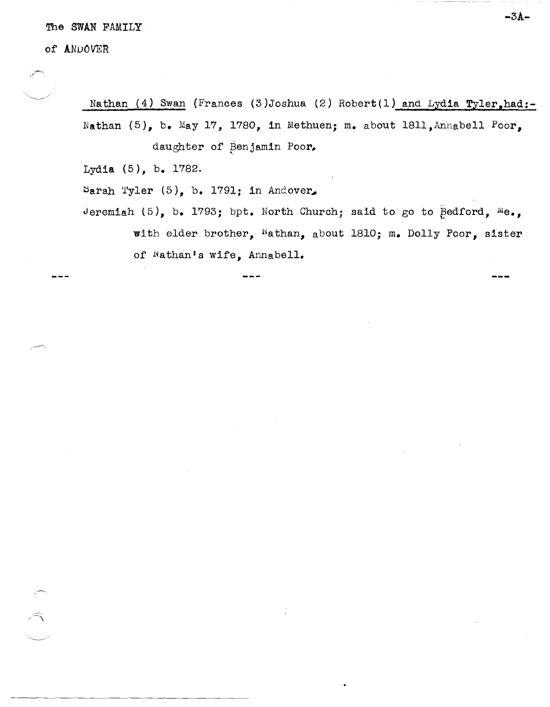The SWAN FAMILY

of ANDOVER

 $\times$   $~\sim$  .

Nathan  $(4)$  Swan (Frances  $(3)$ Joshua  $(2)$  Robert $(1)$  and Lydia Tyler,had:-Nathan (5), b. May 17, 1780, in Methuen; m. about 1811, Annabell Poor, daughter of Benjamin Poor,

Lydia (5), b. 1782.

Sarah Tyler  $(5)$ , b. 1791; in Andover,

Jeremiah (5), b. 1793; bpt. North Church; said to go to  $\bar{P}$ edford,  $^{\text{M}}$ e., with elder brother, Nathan, about 1810; m. Dolly Poor, sister of Wathan's wife, Annabell.

**-3A-**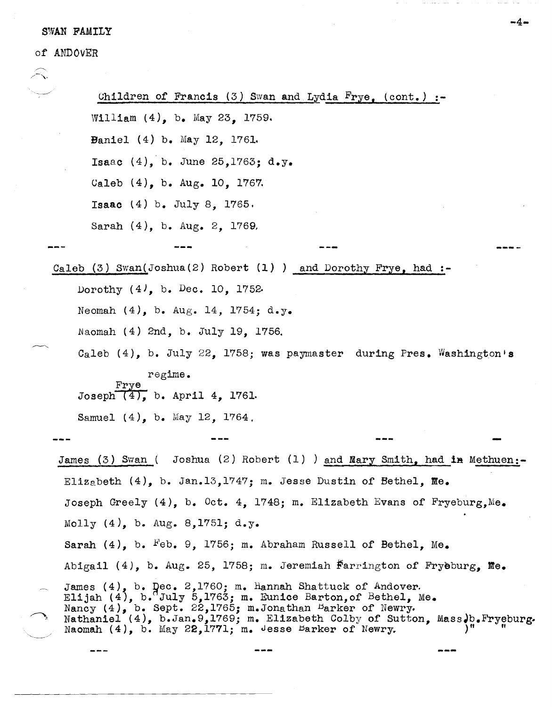## -4- SWAN FAMILY

of ANDOvER

 $\ddot{r}$ 

Children of Francis (3) Swan and Lydia  $F_{\text{rye}}$ , (cont.) :-William (4), b. May 23, 1759. Baniel (4) b. May 12, 176L Isaac (4), b. June 25,1763; d.y. Caleb (4), b. Aug. 10, 1767. Isaac (4) b. July 8, 1765. Sarah (4), b. Aug. 2, 1769, Caleb (3) Swan ( Joshua (2) Robert  $(1)$  ) and Dorothy Frye, had:-Dorothy  $(4)$ , b. Dec. 10, 1752. Neomah  $(4)$ , b. Aug. 14, 1754; d.y. Naomah (4) 2nd, b. July 19, 1756. Caleb (4), b. July 22, 1758; was paymaster during Pres. Washington's regime. Frye<br>Joseph  $(4)$ , b. April 4, 1761. Samuel (4), b. May 12, 1764, James (3) Swan ( Joshua (2) Robert (1) ) and Mary Smith, had in Methuen:-EliZabeth (4), b. Jan.13,1747; m. Jesse Dustin of Bethel, Me. Joseph Greely  $(4)$ , b. Oct. 4, 1748; m. Elizabeth Evans of Fryeburg, Me. Molly  $(4)$ , b. Aug. 8,1751; d.y. Sarah  $(4)$ , b. Feb. 9, 1756; m. Abraham Russell of Bethel, Me. Abigail (4), b. Aug. 25, 1758; m. Jeremiah  $F\text{arrington of } Frybburg, \text{Me.}$ James  $(4)$ , b.  $q$ ec. 2,1760; m. Hannah Shattuck of Andover. Elijah  $(4)$ , b. July 5,1763; m. Eunice Barton, of Bethel, Me. Nancy (4), b. Sept. 22,1765; m. Jonathan Barker of Newry. Nathaniel (4), b.Jan.9,1769; m. Elizabeth Colby of Sutton, Mass.b.Fryeburg. Naomah  $(4)$ , b. May 22,1771; m. Jesse Barker of Newry.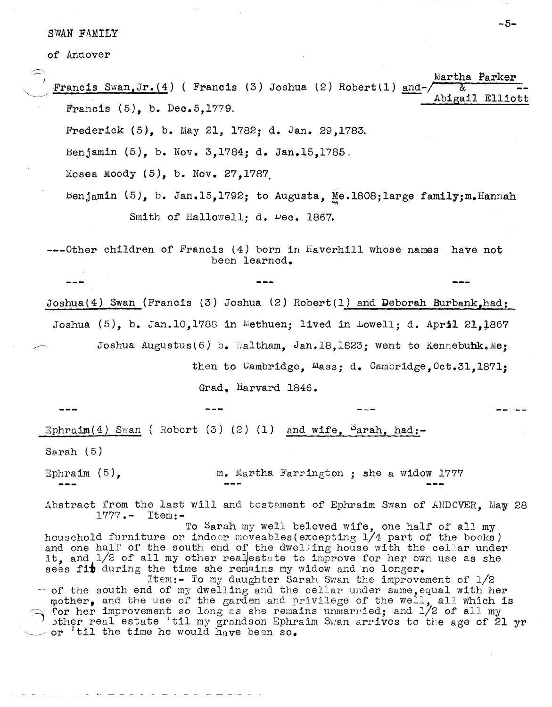SWAN FAMILY

of Andover

- Martha Parker Francis Swan,Jr.(4) ( Francis (3) Joshua (2) Robert(1) and- $\sqrt{\frac{g}{\text{Abigail}}}}$  Elliott Francis  $(5)$ , b. Dec.5,1779.
	- Frederick (5), b. May 21,1782; d. Jan. 29,1783.
	- Benjamin (5), b. Nov. 3,1784; d. Jan.15,1785.
	- Moses Moody (5), b. Nov. 27,1787,
	- - Benjamin  $(5)$ , b. Jan.15,1792; to Augusta, Me.1808;large family;m.Hannah Smith of Hallowell; d.  $\nu$ ec. 1867.

---Other children of Francis (4) born in Haverhill whose names have not been learned.

Joshua(4) Swan (Francis (3) Joshua (2) Robert(1) and Deborah Burbank,had: Joshua  $(5)$ , b. Jan.10,1788 in Methuen; lived in Lowell; d. April 21.1867 Joshua Augustus(6) b. Waltham, Jan.18,1823; went to Kennebuhk.Me; then to Cambridge, Mass; d. Cambridge, Oct.31,1871;

Grad, Harvard 1846.

Ephraim  $(4)$  Swan (Robert  $(3)$   $(2)$   $(1)$  and wife, Parah, had:-

Sarah  $(5)$ 

Ephraim (5), m. Martha Farrington; she a widow 1777

Abstract from the last will and testament of Ephraim Swan of ANDOVER. May 28 1777.- Item:-

To Sarah my well beloved wife, one half of all my household furniture or indoor moveables(excepting  $1/4$  part of the books) and one half of the south end of the dwelling house with the cellar under it, and  $1/2$  of all my other realestate to improve for her own use as she sees fit during the time she remains my widow and no longer.

Item:- To my daughter Sarah Swan the improvement of  $1/2$  $~\sim$  of the south end of my dwelling and the cellar under same, equal with her mother, and the use of the garden and privilege of the well, all which is for her improvement so long as she remains unmarried; and 1/2 of all my , ther real estate 'til my grandson Ephraim Swan arrives to the age of 21 yr .~/ or I til the *time* he would have been so.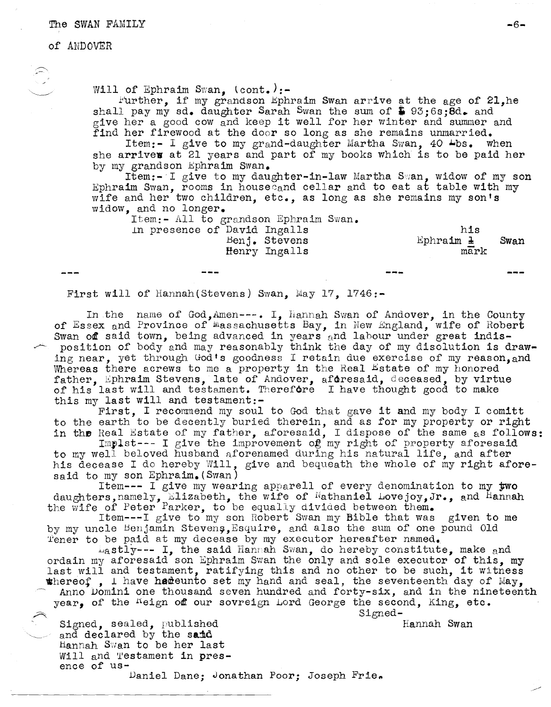## The SWAN FAMILY **-6-**

## of ANDOVER

..<br>Will of Ephraim Swan, (cont.):-

Further, if my grandson Ephraim Swan arrive at the age of 21,he shall pay my sd. daughter Sarah Swan the sum of  $$95;6s;6d.$  and give her a good cow and keep it well for her winter and summer and find her firewood at the door so long as she remains unmarried.

Item:- I give to my grand-daughter Martha Swan, 40  $\blacktriangle$ bs. when she arrives at 21 years and part of my books which is to be paid her by my grandson Ephraim Swan.

Item:- $I$  give to my daughter-in-law Martha Swan, widow of my son Ephraim Swan, rooms in house and cellar and to eat at table with my wife and her two children, etc., as long as she remains my son's widOW, and no longer.

Item:- All to grandson Ephraim Swan.

In presence of David Ingalls Henj. Stevens Henry Ingalls

his Ephraim  $\pm$ mark Swan

First will of Hannah(Stevens) Swan, May 17, 1746:-

In the name of God, Amen---. I. Hannah Swan of Andover, in the County of Essex and Province of Wassachusetts Bay, in New England, wife of Robert<br>Swan of said town, being advanced in years and labour under great indisposition of body and may reasonably think the day of my disolution is drawing near, yet through God's goodness I retain due exercise of my reason, and Whereas there acrews to me a property in the Real Estate of my honored father. Ephraim Stevens, late of Andover, afdresaid, deceased, by virtue of his last will and testament. Therefore I have thought good to make this my last will and testament:-

First, I recommend my soul to God that gave it and my body I comitt to the earth to be decently buried therein, and as for my property or right in the Real Estate of my father, aforesaid, I dispose of the same as follows:

Implst--- I give the improvement of my right of property aforesaid to my well beloved husband aforenamed during his natural life, and after his decease I do hereby Will, give and bequeath the whole of my right aforesaid to my son Ephraim. (Swan)

Item--- I give my wearing apparell of every denomination to my ywo daughters,namely, Elizabeth, the wife of Nathaniel Lovejoy, Jr., and Hannah the wife of Peter Parker, to be equally divided between them.

Item---I give to my son Robert Swan my Bible that was given to me by my uncle Benjamin Stevens, Esquire, and also the sum of one pound Old Tener to be paid at my decease by my executor hereafter named.

Lastly--- I, the said Hanmah Swan, do hereby constitute, make and ordain my aforesaid son Ephraim Swan the only and sole executor of this, my last will and testament, ratifying this and no other to be such, it witness whereof, I have hadeunto set my hand and seal, the seventeenth day of May,

Anno Domini one thousand seven hundred and forty-six, and in the nineteenth year, of the  $^{K}$ eign off our sovreign Lord George the second, King, etc.

Signed-

Hannah Swan

Signed, sealed, published and declared by the said Hannah Swan to be her last Will and Testament in presence of us-Daniel Dane; Jonathan Poor; Joseph Frie.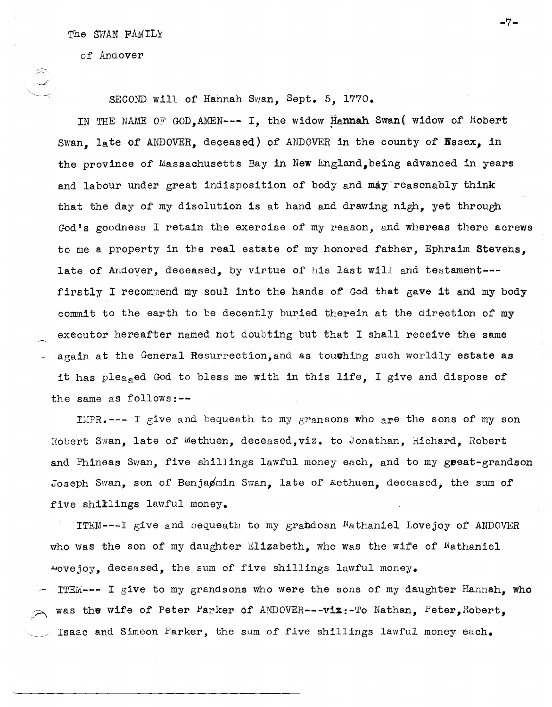The SWAN FAMILy

of Andover

 $\begin{array}{ccc} \widehat{\mathbb{C}} & \\ \diagup \end{array}$  SECOND will of Hannah Swan, Sept. 5, 1770.

IN THE NAME OF GOD, AMEN--- I, the widow Hannah Swan ( widow of Robert Swan. late of ANDOVER. deceased) of ANDOVER in the county of Wasex, in the province of Massachusetts Bay in New England, being advanced in years and labour under great indisposition of body and may'reasonably think that the day of my disolution is at hand and drawing nigh, yet through God's goodness I retain the exercise of my reason, and whereas there acrews to me a property in the real estate of my honored father, Ephraim Stevens, late of Andoyer, deceased, by virtue of his last will and testament-- firstly I recommend my soul into the hands of God that gave it and my body commit to the earth to be decently buried therein at the direction of my executor hereafter named not doubting but that I shall receive the same again at the General Resurrection, and as touthing such worldly estate as it has pleaged God to bless me with in this life, I give and dispose of the same as follows:--

IMPR. --- I give and bequeath to my gransons who are the sons of my son Robert Swan, late of Methuen, deceased,viz. to Jonathan, Hichard, Robert and Phineas Swan, five shillings lawful money each, and to my great-grandson Joseph Swan, son of Benjaømin Swan, late of Methuen, deceased, the sum of five shillings lawful money.

ITEM---I give and bequeath to my grabdosn Hathaniel Lovejoy or ANDOVER who was the son of my daughter Elizabeth, who was the wife of  $%$  Mathaniel ~ovejoy, deceased, the sum of five shillings lawful money.

ITEM--- I give to my grandsons who were the sons of' my daughter Hannah, who was the wife of Peter Parker of ANDOVER---viz:-To Nathan, Peter, Robert, Isaac and Simeon Farker, the sum of five shillings lawful money each.

**-7-**